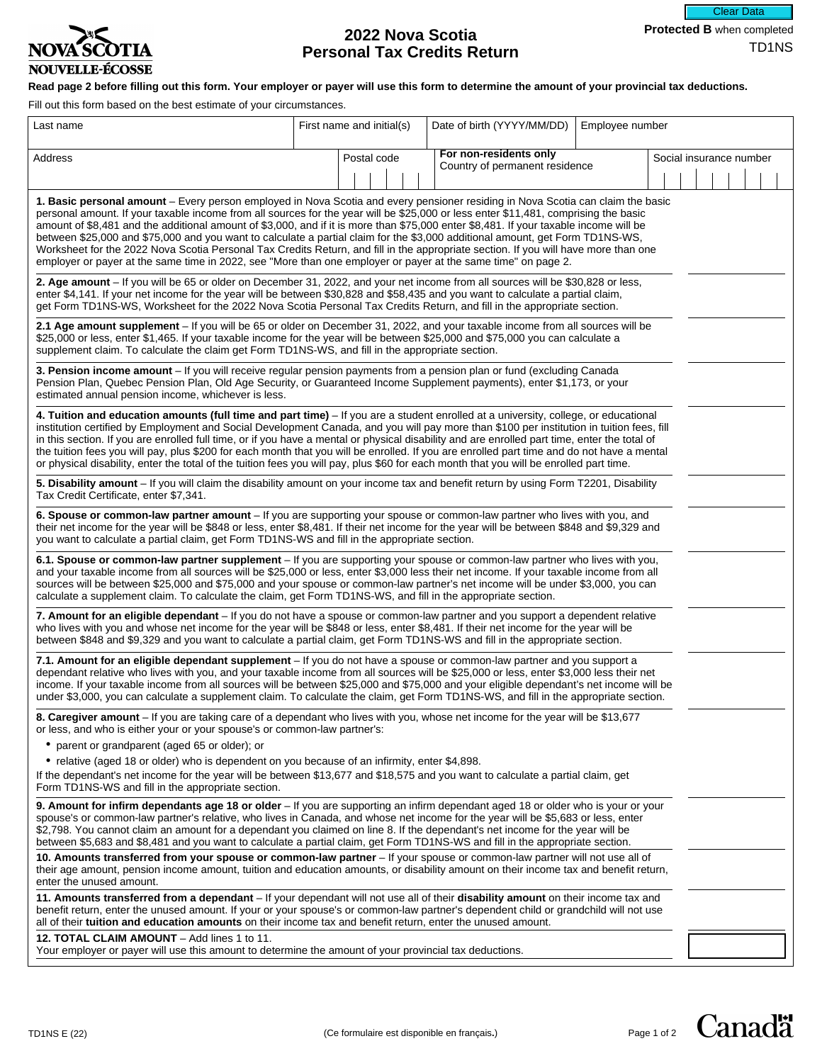

# **2022 Nova Scotia Personal Tax Credits Return**

**Read page 2 before filling out this form. Your employer or payer will use this form to determine the amount of your provincial tax deductions.**

Fill out this form based on the best estimate of your circumstances.

| Last name                                                                                                                                                                                                                                                                                                                                                                                                                                                                                                                                                                                                                                                                                                                                                                                                | First name and initial(s) | Date of birth (YYYY/MM/DD)                               | Employee number |                         |
|----------------------------------------------------------------------------------------------------------------------------------------------------------------------------------------------------------------------------------------------------------------------------------------------------------------------------------------------------------------------------------------------------------------------------------------------------------------------------------------------------------------------------------------------------------------------------------------------------------------------------------------------------------------------------------------------------------------------------------------------------------------------------------------------------------|---------------------------|----------------------------------------------------------|-----------------|-------------------------|
| Address                                                                                                                                                                                                                                                                                                                                                                                                                                                                                                                                                                                                                                                                                                                                                                                                  | Postal code               | For non-residents only<br>Country of permanent residence |                 | Social insurance number |
| 1. Basic personal amount - Every person employed in Nova Scotia and every pensioner residing in Nova Scotia can claim the basic<br>personal amount. If your taxable income from all sources for the year will be \$25,000 or less enter \$11,481, comprising the basic<br>amount of \$8,481 and the additional amount of \$3,000, and if it is more than \$75,000 enter \$8,481. If your taxable income will be<br>between \$25,000 and \$75,000 and you want to calculate a partial claim for the \$3,000 additional amount, get Form TD1NS-WS,<br>Worksheet for the 2022 Nova Scotia Personal Tax Credits Return, and fill in the appropriate section. If you will have more than one<br>employer or payer at the same time in 2022, see "More than one employer or payer at the same time" on page 2. |                           |                                                          |                 |                         |
| 2. Age amount - If you will be 65 or older on December 31, 2022, and your net income from all sources will be \$30,828 or less,<br>enter \$4,141. If your net income for the year will be between \$30,828 and \$58,435 and you want to calculate a partial claim,<br>get Form TD1NS-WS, Worksheet for the 2022 Nova Scotia Personal Tax Credits Return, and fill in the appropriate section.                                                                                                                                                                                                                                                                                                                                                                                                            |                           |                                                          |                 |                         |
| 2.1 Age amount supplement - If you will be 65 or older on December 31, 2022, and your taxable income from all sources will be<br>\$25,000 or less, enter \$1,465. If your taxable income for the year will be between \$25,000 and \$75,000 you can calculate a<br>supplement claim. To calculate the claim get Form TD1NS-WS, and fill in the appropriate section.                                                                                                                                                                                                                                                                                                                                                                                                                                      |                           |                                                          |                 |                         |
| 3. Pension income amount - If you will receive regular pension payments from a pension plan or fund (excluding Canada<br>Pension Plan, Quebec Pension Plan, Old Age Security, or Guaranteed Income Supplement payments), enter \$1,173, or your<br>estimated annual pension income, whichever is less.                                                                                                                                                                                                                                                                                                                                                                                                                                                                                                   |                           |                                                          |                 |                         |
| 4. Tuition and education amounts (full time and part time) – If you are a student enrolled at a university, college, or educational<br>institution certified by Employment and Social Development Canada, and you will pay more than \$100 per institution in tuition fees, fill<br>in this section. If you are enrolled full time, or if you have a mental or physical disability and are enrolled part time, enter the total of<br>the tuition fees you will pay, plus \$200 for each month that you will be enrolled. If you are enrolled part time and do not have a mental<br>or physical disability, enter the total of the tuition fees you will pay, plus \$60 for each month that you will be enrolled part time.                                                                               |                           |                                                          |                 |                         |
| 5. Disability amount - If you will claim the disability amount on your income tax and benefit return by using Form T2201, Disability<br>Tax Credit Certificate, enter \$7,341.                                                                                                                                                                                                                                                                                                                                                                                                                                                                                                                                                                                                                           |                           |                                                          |                 |                         |
| 6. Spouse or common-law partner amount - If you are supporting your spouse or common-law partner who lives with you, and<br>their net income for the year will be \$848 or less, enter \$8,481. If their net income for the year will be between \$848 and \$9,329 and<br>you want to calculate a partial claim, get Form TD1NS-WS and fill in the appropriate section.                                                                                                                                                                                                                                                                                                                                                                                                                                  |                           |                                                          |                 |                         |
| 6.1. Spouse or common-law partner supplement - If you are supporting your spouse or common-law partner who lives with you,<br>and your taxable income from all sources will be \$25,000 or less, enter \$3,000 less their net income. If your taxable income from all<br>sources will be between \$25,000 and \$75,000 and your spouse or common-law partner's net income will be under \$3,000, you can<br>calculate a supplement claim. To calculate the claim, get Form TD1NS-WS, and fill in the appropriate section.                                                                                                                                                                                                                                                                                |                           |                                                          |                 |                         |
| 7. Amount for an eligible dependant - If you do not have a spouse or common-law partner and you support a dependent relative<br>who lives with you and whose net income for the year will be \$848 or less, enter \$8,481. If their net income for the year will be<br>between \$848 and \$9,329 and you want to calculate a partial claim, get Form TD1NS-WS and fill in the appropriate section.                                                                                                                                                                                                                                                                                                                                                                                                       |                           |                                                          |                 |                         |
| 7.1. Amount for an eligible dependant supplement – If you do not have a spouse or common-law partner and you support a<br>dependant relative who lives with you, and your taxable income from all sources will be \$25,000 or less, enter \$3,000 less their net<br>income. If your taxable income from all sources will be between \$25,000 and \$75,000 and your eligible dependant's net income will be<br>under \$3,000, you can calculate a supplement claim. To calculate the claim, get Form TD1NS-WS, and fill in the appropriate section.                                                                                                                                                                                                                                                       |                           |                                                          |                 |                         |
| 8. Caregiver amount - If you are taking care of a dependant who lives with you, whose net income for the year will be \$13,677<br>or less, and who is either your or your spouse's or common-law partner's:<br>• parent or grandparent (aged 65 or older); or<br>• relative (aged 18 or older) who is dependent on you because of an infirmity, enter \$4,898.<br>If the dependant's net income for the year will be between \$13,677 and \$18,575 and you want to calculate a partial claim, get<br>Form TD1NS-WS and fill in the appropriate section.                                                                                                                                                                                                                                                  |                           |                                                          |                 |                         |
| 9. Amount for infirm dependants age 18 or older - If you are supporting an infirm dependant aged 18 or older who is your or your<br>spouse's or common-law partner's relative, who lives in Canada, and whose net income for the year will be \$5,683 or less, enter<br>\$2,798. You cannot claim an amount for a dependant you claimed on line 8. If the dependant's net income for the year will be<br>between \$5,683 and \$8,481 and you want to calculate a partial claim, get Form TD1NS-WS and fill in the appropriate section.                                                                                                                                                                                                                                                                   |                           |                                                          |                 |                         |
| 10. Amounts transferred from your spouse or common-law partner - If your spouse or common-law partner will not use all of<br>their age amount, pension income amount, tuition and education amounts, or disability amount on their income tax and benefit return,<br>enter the unused amount.                                                                                                                                                                                                                                                                                                                                                                                                                                                                                                            |                           |                                                          |                 |                         |
| 11. Amounts transferred from a dependant – If your dependant will not use all of their disability amount on their income tax and<br>benefit return, enter the unused amount. If your or your spouse's or common-law partner's dependent child or grandchild will not use<br>all of their tuition and education amounts on their income tax and benefit return, enter the unused amount.                                                                                                                                                                                                                                                                                                                                                                                                                  |                           |                                                          |                 |                         |
| 12. TOTAL CLAIM AMOUNT - Add lines 1 to 11.<br>Your employer or payer will use this amount to determine the amount of your provincial tax deductions.                                                                                                                                                                                                                                                                                                                                                                                                                                                                                                                                                                                                                                                    |                           |                                                          |                 |                         |